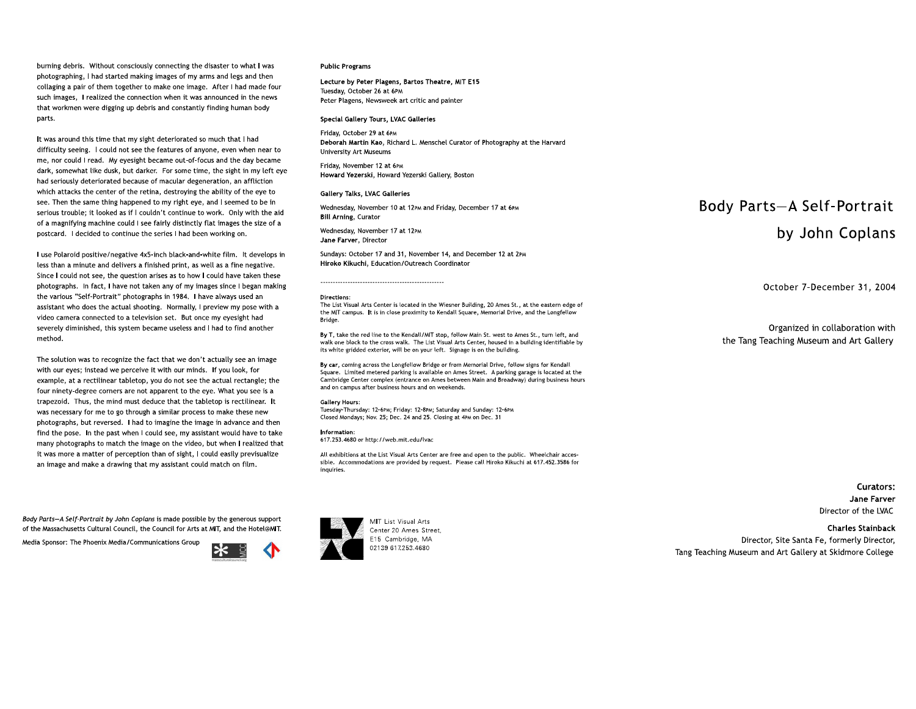burning debris. Without consciously connecting the disaster to what I was photographing, I had started making images of my arms and legs and then collaging a pair of them together to make one image. After I had made four such images. I realized the connection when it was announced in the news that workmen were digging up debris and constantly finding human body parts.

It was around this time that my sight deteriorated so much that I had difficulty seeing. I could not see the features of anyone, even when near to me, nor could I read. My eyesight became out-of-focus and the day became dark, somewhat like dusk, but darker. For some time, the sight in my left eye aarty somewhat the dask, but darker. The some time, the signt in my to destroy the ability of the ability of the same to see the same the same the same that the same that is my control of which attacks the center of the retina, destroying the ability of the eye to see. Then the same thing happened to my right eye, and I seemed to be in serious trouble; it looked as if I couldn't continue to work. Only with of a magnifying machine could I see fairly distinctly flat images the size of a postcard. I decided to continue the series I had been working on.

I use Polaroid positive/negative 4x5-inch black-and-white film. It develops in less than a minute and delivers a finished print, as well as a fine negative. Since I could not see, the question arises as to how I could have taken these photographs. In fact, I have not taken any of my images since I began making the various "Self-Portrait" photographs in 1984. I have always used an assistant who does the actual shooting. Normally, I preview my pose with a assistant who does the actual shooting. Tromhally, I preview my pose with a video caniera method.

The solution was to recognize the fact that we don't actually see an image with our eyes; instead we perceive it with our minds. If you look, for example, at a rectilinear tabletop, you do not see the actual rectangle; the four ninety-degree corners are not apparent to the eye. What you see is a trapezoid. Thus, the mind must deduce that the tabletop is rectilinear. It was necessary for me to go through a similar process to make these new the increaser from the to go enough a similar process to make these new photographs, but reversed. That to imagine the image in advance and their find the pose. In the past when I could see, my assistant would have to take many photographs to match the image on the video, but when I realized that<br>it was more a matter of perception than of sight, I could easily previsualize an image and make a drawing that my assistant could match on film.

Body Parts-A Self-Portrait by John Coplans is made possible by the generous support of the Massachusetts Cultural Council, the Council for Arts at MIT, and the Hotel@MIT.

Media Sponsor: The Phoenix Media/Communications Group

## Public Programs

Lecture by Peter Plagens, Bartos Theatre, MIT E15 Tuesday, October 26 at 6PM Peter Plagens, Newsweek art critic and painter

#### Special Gallery Tours, LVAC Galleries

Friday, October 29 at 6PM Deborah Martin Kao, Richard L. Menschel Curator of Photography at the Harvard **University Art Museums** 

Friday, November 12 at 6PM Howard Yezerski, Howard Yezerski Gallery, Boston

## Gallery Talks, LVAC Galleries

Wednesday, November 10 at 12PM and Friday, December 17 at 6PM **Bill Arning, Curator** 

Wednesday, November 17 at 12pm Jane Farver, Director

------------------------------------------------

Sundays: October 17 and 31, November 14, and December 12 at 2PM Hiroko Kikuchi, Education/Outreach Coordinator

#### Directions:

The List Visual Arts Center is located in the Wiesner Building, 20 Ames St., at the eastern edge of the MIT campus. It is in close proximity to Kendall Square, Memorial Drive, and the Longfellow<br>Bridge.  $\mathbf{b}$ ndge.

By T, take the red line to the Kendall/MIT stop, follow Main St. west to Ames St., turn left, and walk one block to the cross walk. The List Visual Arts Center, housed in a building identifiable by its white gridded exterior, will be on your left. Signage is on the building.

By car, coming across the Longfellow Bridge or from Memorial Drive, follow signs for Kendall Square. Limited metered parking is available on Ames Street. A parking garage is located at the Cambridge Center complex (entrance on Ames between Main and Broadway) during business hours and on campus after business hours and on weekends. during business and campus after business hours and on weakends.

#### Gallery Hours:

Tuesdav-Thursday: 12-6pm: Fridav: 12-8pm: Saturdav and Sundav: 12-6pm Closed Mondays; Nov. 25; Dec. 24 and 25, Closing at 4pm on Dec.

#### Information:

[617.253.468](tel:6172534680)0 or http://web.mit.edu/lvac

All exhibitions at the List Visual Arts Center are free and open to the public. Wheelchair accessible. Accommodations are provided by request. Please call Hiroko Kikuchi at 617.452.3586 for inquiries.

MIT List Visual Arts Center 20 Ames Street E15 Cambridge, MA 02139 6172

# Body Parts-A Self-Portrait by John Coplans

October 7-December 31, 2004

Organized in collaboration with the Tang Teaching Museum and Art Gallery

> Curators: Jane Farver Director of the LVAC

**Charles Stainback**<br>Director, Site Santa Fe, formerly Director, Tang Teaching Museum and Art Gallery at Skidmore College ang Teaching Maccani